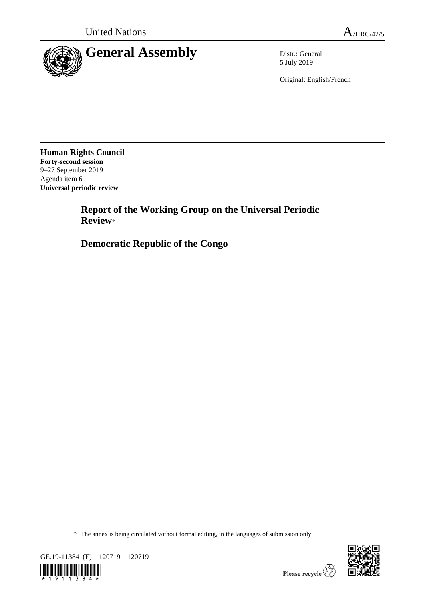

5 July 2019

Original: English/French

**Human Rights Council Forty-second session** 9–27 September 2019 Agenda item 6 **Universal periodic review**

> **Report of the Working Group on the Universal Periodic Review**\*

**Democratic Republic of the Congo**

<sup>\*</sup> The annex is being circulated without formal editing, in the languages of submission only.



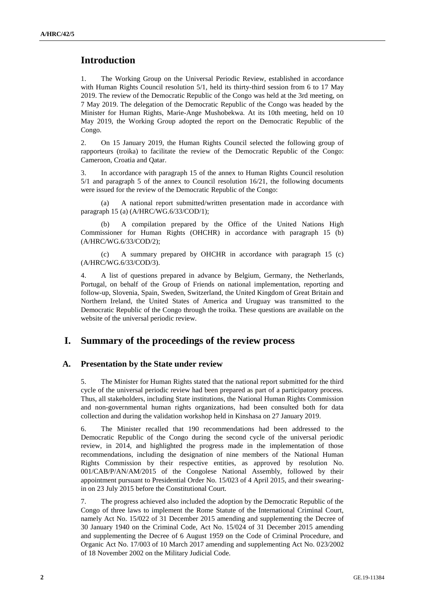# **Introduction**

1. The Working Group on the Universal Periodic Review, established in accordance with Human Rights Council resolution 5/1, held its thirty-third session from 6 to 17 May 2019. The review of the Democratic Republic of the Congo was held at the 3rd meeting, on 7 May 2019. The delegation of the Democratic Republic of the Congo was headed by the Minister for Human Rights, Marie-Ange Mushobekwa. At its 10th meeting, held on 10 May 2019, the Working Group adopted the report on the Democratic Republic of the Congo.

2. On 15 January 2019, the Human Rights Council selected the following group of rapporteurs (troika) to facilitate the review of the Democratic Republic of the Congo: Cameroon, Croatia and Qatar.

3. In accordance with paragraph 15 of the annex to Human Rights Council resolution 5/1 and paragraph 5 of the annex to Council resolution 16/21, the following documents were issued for the review of the Democratic Republic of the Congo:

(a) A national report submitted/written presentation made in accordance with paragraph 15 (a) (A/HRC/WG.6/33/COD/1);

(b) A compilation prepared by the Office of the United Nations High Commissioner for Human Rights (OHCHR) in accordance with paragraph 15 (b) (A/HRC/WG.6/33/COD/2);

(c) A summary prepared by OHCHR in accordance with paragraph 15 (c) (A/HRC/WG.6/33/COD/3).

4. A list of questions prepared in advance by Belgium, Germany, the Netherlands, Portugal, on behalf of the Group of Friends on national implementation, reporting and follow-up, Slovenia, Spain, Sweden, Switzerland, the United Kingdom of Great Britain and Northern Ireland, the United States of America and Uruguay was transmitted to the Democratic Republic of the Congo through the troika. These questions are available on the website of the universal periodic review.

## **I. Summary of the proceedings of the review process**

#### **A. Presentation by the State under review**

5. The Minister for Human Rights stated that the national report submitted for the third cycle of the universal periodic review had been prepared as part of a participatory process. Thus, all stakeholders, including State institutions, the National Human Rights Commission and non-governmental human rights organizations, had been consulted both for data collection and during the validation workshop held in Kinshasa on 27 January 2019.

6. The Minister recalled that 190 recommendations had been addressed to the Democratic Republic of the Congo during the second cycle of the universal periodic review, in 2014, and highlighted the progress made in the implementation of those recommendations, including the designation of nine members of the National Human Rights Commission by their respective entities, as approved by resolution No. 001/CAB/P/AN/AM/2015 of the Congolese National Assembly, followed by their appointment pursuant to Presidential Order No. 15/023 of 4 April 2015, and their swearingin on 23 July 2015 before the Constitutional Court.

7. The progress achieved also included the adoption by the Democratic Republic of the Congo of three laws to implement the Rome Statute of the International Criminal Court, namely Act No. 15/022 of 31 December 2015 amending and supplementing the Decree of 30 January 1940 on the Criminal Code, Act No. 15/024 of 31 December 2015 amending and supplementing the Decree of 6 August 1959 on the Code of Criminal Procedure, and Organic Act No. 17/003 of 10 March 2017 amending and supplementing Act No. 023/2002 of 18 November 2002 on the Military Judicial Code.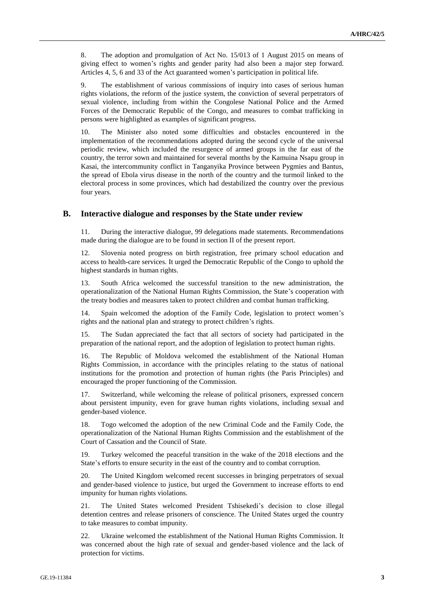8. The adoption and promulgation of Act No. 15/013 of 1 August 2015 on means of giving effect to women's rights and gender parity had also been a major step forward. Articles 4, 5, 6 and 33 of the Act guaranteed women's participation in political life.

9. The establishment of various commissions of inquiry into cases of serious human rights violations, the reform of the justice system, the conviction of several perpetrators of sexual violence, including from within the Congolese National Police and the Armed Forces of the Democratic Republic of the Congo, and measures to combat trafficking in persons were highlighted as examples of significant progress.

10. The Minister also noted some difficulties and obstacles encountered in the implementation of the recommendations adopted during the second cycle of the universal periodic review, which included the resurgence of armed groups in the far east of the country, the terror sown and maintained for several months by the Kamuina Nsapu group in Kasai, the intercommunity conflict in Tanganyika Province between Pygmies and Bantus, the spread of Ebola virus disease in the north of the country and the turmoil linked to the electoral process in some provinces, which had destabilized the country over the previous four years.

#### **B. Interactive dialogue and responses by the State under review**

11. During the interactive dialogue, 99 delegations made statements. Recommendations made during the dialogue are to be found in section II of the present report.

12. Slovenia noted progress on birth registration, free primary school education and access to health-care services. It urged the Democratic Republic of the Congo to uphold the highest standards in human rights.

13. South Africa welcomed the successful transition to the new administration, the operationalization of the National Human Rights Commission, the State's cooperation with the treaty bodies and measures taken to protect children and combat human trafficking.

14. Spain welcomed the adoption of the Family Code, legislation to protect women's rights and the national plan and strategy to protect children's rights.

15. The Sudan appreciated the fact that all sectors of society had participated in the preparation of the national report, and the adoption of legislation to protect human rights.

16. The Republic of Moldova welcomed the establishment of the National Human Rights Commission, in accordance with the principles relating to the status of national institutions for the promotion and protection of human rights (the Paris Principles) and encouraged the proper functioning of the Commission.

17. Switzerland, while welcoming the release of political prisoners, expressed concern about persistent impunity, even for grave human rights violations, including sexual and gender-based violence.

18. Togo welcomed the adoption of the new Criminal Code and the Family Code, the operationalization of the National Human Rights Commission and the establishment of the Court of Cassation and the Council of State.

19. Turkey welcomed the peaceful transition in the wake of the 2018 elections and the State's efforts to ensure security in the east of the country and to combat corruption.

20. The United Kingdom welcomed recent successes in bringing perpetrators of sexual and gender-based violence to justice, but urged the Government to increase efforts to end impunity for human rights violations.

21. The United States welcomed President Tshisekedi's decision to close illegal detention centres and release prisoners of conscience. The United States urged the country to take measures to combat impunity.

22. Ukraine welcomed the establishment of the National Human Rights Commission. It was concerned about the high rate of sexual and gender-based violence and the lack of protection for victims.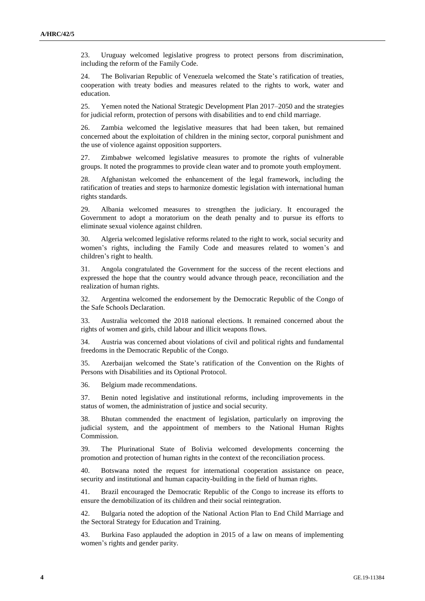23. Uruguay welcomed legislative progress to protect persons from discrimination, including the reform of the Family Code.

24. The Bolivarian Republic of Venezuela welcomed the State's ratification of treaties, cooperation with treaty bodies and measures related to the rights to work, water and education.

25. Yemen noted the National Strategic Development Plan 2017–2050 and the strategies for judicial reform, protection of persons with disabilities and to end child marriage.

26. Zambia welcomed the legislative measures that had been taken, but remained concerned about the exploitation of children in the mining sector, corporal punishment and the use of violence against opposition supporters.

27. Zimbabwe welcomed legislative measures to promote the rights of vulnerable groups. It noted the programmes to provide clean water and to promote youth employment.

28. Afghanistan welcomed the enhancement of the legal framework, including the ratification of treaties and steps to harmonize domestic legislation with international human rights standards.

29. Albania welcomed measures to strengthen the judiciary. It encouraged the Government to adopt a moratorium on the death penalty and to pursue its efforts to eliminate sexual violence against children.

30. Algeria welcomed legislative reforms related to the right to work, social security and women's rights, including the Family Code and measures related to women's and children's right to health.

31. Angola congratulated the Government for the success of the recent elections and expressed the hope that the country would advance through peace, reconciliation and the realization of human rights.

32. Argentina welcomed the endorsement by the Democratic Republic of the Congo of the Safe Schools Declaration.

33. Australia welcomed the 2018 national elections. It remained concerned about the rights of women and girls, child labour and illicit weapons flows.

34. Austria was concerned about violations of civil and political rights and fundamental freedoms in the Democratic Republic of the Congo.

35. Azerbaijan welcomed the State's ratification of the Convention on the Rights of Persons with Disabilities and its Optional Protocol.

36. Belgium made recommendations.

37. Benin noted legislative and institutional reforms, including improvements in the status of women, the administration of justice and social security.

38. Bhutan commended the enactment of legislation, particularly on improving the judicial system, and the appointment of members to the National Human Rights Commission.

39. The Plurinational State of Bolivia welcomed developments concerning the promotion and protection of human rights in the context of the reconciliation process.

40. Botswana noted the request for international cooperation assistance on peace, security and institutional and human capacity-building in the field of human rights.

41. Brazil encouraged the Democratic Republic of the Congo to increase its efforts to ensure the demobilization of its children and their social reintegration.

42. Bulgaria noted the adoption of the National Action Plan to End Child Marriage and the Sectoral Strategy for Education and Training.

43. Burkina Faso applauded the adoption in 2015 of a law on means of implementing women's rights and gender parity.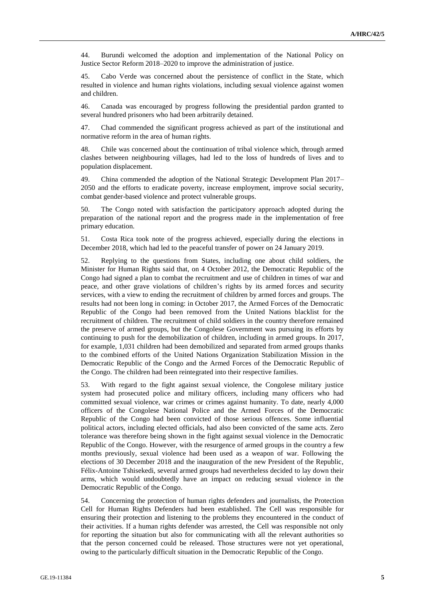44. Burundi welcomed the adoption and implementation of the National Policy on Justice Sector Reform 2018–2020 to improve the administration of justice.

45. Cabo Verde was concerned about the persistence of conflict in the State, which resulted in violence and human rights violations, including sexual violence against women and children.

46. Canada was encouraged by progress following the presidential pardon granted to several hundred prisoners who had been arbitrarily detained.

47. Chad commended the significant progress achieved as part of the institutional and normative reform in the area of human rights.

48. Chile was concerned about the continuation of tribal violence which, through armed clashes between neighbouring villages, had led to the loss of hundreds of lives and to population displacement.

49. China commended the adoption of the National Strategic Development Plan 2017– 2050 and the efforts to eradicate poverty, increase employment, improve social security, combat gender-based violence and protect vulnerable groups.

50. The Congo noted with satisfaction the participatory approach adopted during the preparation of the national report and the progress made in the implementation of free primary education.

51. Costa Rica took note of the progress achieved, especially during the elections in December 2018, which had led to the peaceful transfer of power on 24 January 2019.

52. Replying to the questions from States, including one about child soldiers, the Minister for Human Rights said that, on 4 October 2012, the Democratic Republic of the Congo had signed a plan to combat the recruitment and use of children in times of war and peace, and other grave violations of children's rights by its armed forces and security services, with a view to ending the recruitment of children by armed forces and groups. The results had not been long in coming: in October 2017, the Armed Forces of the Democratic Republic of the Congo had been removed from the United Nations blacklist for the recruitment of children. The recruitment of child soldiers in the country therefore remained the preserve of armed groups, but the Congolese Government was pursuing its efforts by continuing to push for the demobilization of children, including in armed groups. In 2017, for example, 1,031 children had been demobilized and separated from armed groups thanks to the combined efforts of the United Nations Organization Stabilization Mission in the Democratic Republic of the Congo and the Armed Forces of the Democratic Republic of the Congo. The children had been reintegrated into their respective families.

53. With regard to the fight against sexual violence, the Congolese military justice system had prosecuted police and military officers, including many officers who had committed sexual violence, war crimes or crimes against humanity. To date, nearly 4,000 officers of the Congolese National Police and the Armed Forces of the Democratic Republic of the Congo had been convicted of those serious offences. Some influential political actors, including elected officials, had also been convicted of the same acts. Zero tolerance was therefore being shown in the fight against sexual violence in the Democratic Republic of the Congo. However, with the resurgence of armed groups in the country a few months previously, sexual violence had been used as a weapon of war. Following the elections of 30 December 2018 and the inauguration of the new President of the Republic, Félix-Antoine Tshisekedi, several armed groups had nevertheless decided to lay down their arms, which would undoubtedly have an impact on reducing sexual violence in the Democratic Republic of the Congo.

54. Concerning the protection of human rights defenders and journalists, the Protection Cell for Human Rights Defenders had been established. The Cell was responsible for ensuring their protection and listening to the problems they encountered in the conduct of their activities. If a human rights defender was arrested, the Cell was responsible not only for reporting the situation but also for communicating with all the relevant authorities so that the person concerned could be released. Those structures were not yet operational, owing to the particularly difficult situation in the Democratic Republic of the Congo.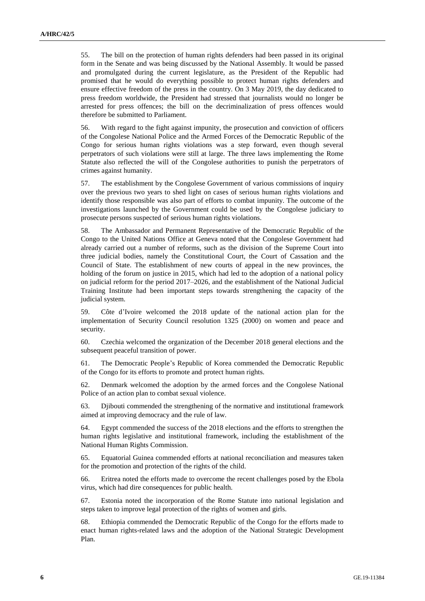55. The bill on the protection of human rights defenders had been passed in its original form in the Senate and was being discussed by the National Assembly. It would be passed and promulgated during the current legislature, as the President of the Republic had promised that he would do everything possible to protect human rights defenders and ensure effective freedom of the press in the country. On 3 May 2019, the day dedicated to press freedom worldwide, the President had stressed that journalists would no longer be arrested for press offences; the bill on the decriminalization of press offences would therefore be submitted to Parliament.

56. With regard to the fight against impunity, the prosecution and conviction of officers of the Congolese National Police and the Armed Forces of the Democratic Republic of the Congo for serious human rights violations was a step forward, even though several perpetrators of such violations were still at large. The three laws implementing the Rome Statute also reflected the will of the Congolese authorities to punish the perpetrators of crimes against humanity.

57. The establishment by the Congolese Government of various commissions of inquiry over the previous two years to shed light on cases of serious human rights violations and identify those responsible was also part of efforts to combat impunity. The outcome of the investigations launched by the Government could be used by the Congolese judiciary to prosecute persons suspected of serious human rights violations.

58. The Ambassador and Permanent Representative of the Democratic Republic of the Congo to the United Nations Office at Geneva noted that the Congolese Government had already carried out a number of reforms, such as the division of the Supreme Court into three judicial bodies, namely the Constitutional Court, the Court of Cassation and the Council of State. The establishment of new courts of appeal in the new provinces, the holding of the forum on justice in 2015, which had led to the adoption of a national policy on judicial reform for the period 2017–2026, and the establishment of the National Judicial Training Institute had been important steps towards strengthening the capacity of the judicial system.

59. Côte d'Ivoire welcomed the 2018 update of the national action plan for the implementation of Security Council resolution 1325 (2000) on women and peace and security.

60. Czechia welcomed the organization of the December 2018 general elections and the subsequent peaceful transition of power.

61. The Democratic People's Republic of Korea commended the Democratic Republic of the Congo for its efforts to promote and protect human rights.

62. Denmark welcomed the adoption by the armed forces and the Congolese National Police of an action plan to combat sexual violence.

63. Djibouti commended the strengthening of the normative and institutional framework aimed at improving democracy and the rule of law.

64. Egypt commended the success of the 2018 elections and the efforts to strengthen the human rights legislative and institutional framework, including the establishment of the National Human Rights Commission.

65. Equatorial Guinea commended efforts at national reconciliation and measures taken for the promotion and protection of the rights of the child.

66. Eritrea noted the efforts made to overcome the recent challenges posed by the Ebola virus, which had dire consequences for public health.

67. Estonia noted the incorporation of the Rome Statute into national legislation and steps taken to improve legal protection of the rights of women and girls.

68. Ethiopia commended the Democratic Republic of the Congo for the efforts made to enact human rights-related laws and the adoption of the National Strategic Development Plan.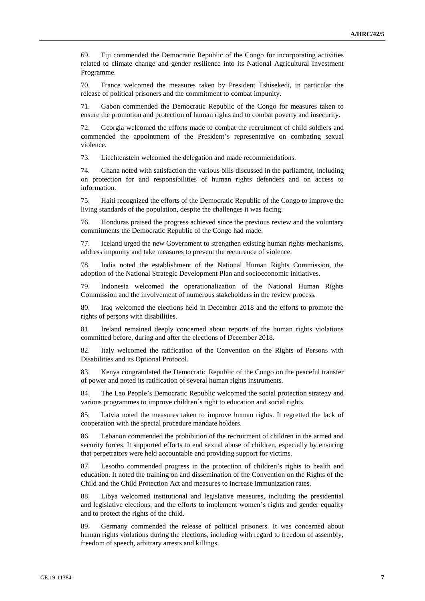69. Fiji commended the Democratic Republic of the Congo for incorporating activities related to climate change and gender resilience into its National Agricultural Investment Programme.

70. France welcomed the measures taken by President Tshisekedi, in particular the release of political prisoners and the commitment to combat impunity.

71. Gabon commended the Democratic Republic of the Congo for measures taken to ensure the promotion and protection of human rights and to combat poverty and insecurity.

72. Georgia welcomed the efforts made to combat the recruitment of child soldiers and commended the appointment of the President's representative on combating sexual violence.

73. Liechtenstein welcomed the delegation and made recommendations.

74. Ghana noted with satisfaction the various bills discussed in the parliament, including on protection for and responsibilities of human rights defenders and on access to information.

75. Haiti recognized the efforts of the Democratic Republic of the Congo to improve the living standards of the population, despite the challenges it was facing.

76. Honduras praised the progress achieved since the previous review and the voluntary commitments the Democratic Republic of the Congo had made.

77. Iceland urged the new Government to strengthen existing human rights mechanisms, address impunity and take measures to prevent the recurrence of violence.

78. India noted the establishment of the National Human Rights Commission, the adoption of the National Strategic Development Plan and socioeconomic initiatives.

79. Indonesia welcomed the operationalization of the National Human Rights Commission and the involvement of numerous stakeholders in the review process.

80. Iraq welcomed the elections held in December 2018 and the efforts to promote the rights of persons with disabilities.

81. Ireland remained deeply concerned about reports of the human rights violations committed before, during and after the elections of December 2018.

82. Italy welcomed the ratification of the Convention on the Rights of Persons with Disabilities and its Optional Protocol.

83. Kenya congratulated the Democratic Republic of the Congo on the peaceful transfer of power and noted its ratification of several human rights instruments.

84. The Lao People's Democratic Republic welcomed the social protection strategy and various programmes to improve children's right to education and social rights.

85. Latvia noted the measures taken to improve human rights. It regretted the lack of cooperation with the special procedure mandate holders.

86. Lebanon commended the prohibition of the recruitment of children in the armed and security forces. It supported efforts to end sexual abuse of children, especially by ensuring that perpetrators were held accountable and providing support for victims.

87. Lesotho commended progress in the protection of children's rights to health and education. It noted the training on and dissemination of the Convention on the Rights of the Child and the Child Protection Act and measures to increase immunization rates.

88. Libya welcomed institutional and legislative measures, including the presidential and legislative elections, and the efforts to implement women's rights and gender equality and to protect the rights of the child.

89. Germany commended the release of political prisoners. It was concerned about human rights violations during the elections, including with regard to freedom of assembly, freedom of speech, arbitrary arrests and killings.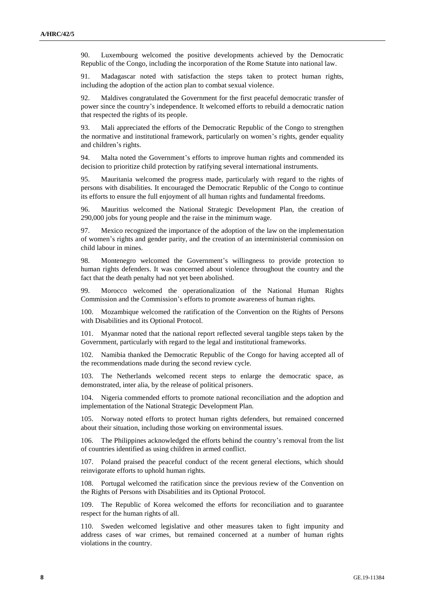90. Luxembourg welcomed the positive developments achieved by the Democratic Republic of the Congo, including the incorporation of the Rome Statute into national law.

91. Madagascar noted with satisfaction the steps taken to protect human rights, including the adoption of the action plan to combat sexual violence.

92. Maldives congratulated the Government for the first peaceful democratic transfer of power since the country's independence. It welcomed efforts to rebuild a democratic nation that respected the rights of its people.

93. Mali appreciated the efforts of the Democratic Republic of the Congo to strengthen the normative and institutional framework, particularly on women's rights, gender equality and children's rights.

94. Malta noted the Government's efforts to improve human rights and commended its decision to prioritize child protection by ratifying several international instruments.

95. Mauritania welcomed the progress made, particularly with regard to the rights of persons with disabilities. It encouraged the Democratic Republic of the Congo to continue its efforts to ensure the full enjoyment of all human rights and fundamental freedoms.

96. Mauritius welcomed the National Strategic Development Plan, the creation of 290,000 jobs for young people and the raise in the minimum wage.

97. Mexico recognized the importance of the adoption of the law on the implementation of women's rights and gender parity, and the creation of an interministerial commission on child labour in mines.

98. Montenegro welcomed the Government's willingness to provide protection to human rights defenders. It was concerned about violence throughout the country and the fact that the death penalty had not yet been abolished.

99. Morocco welcomed the operationalization of the National Human Rights Commission and the Commission's efforts to promote awareness of human rights.

100. Mozambique welcomed the ratification of the Convention on the Rights of Persons with Disabilities and its Optional Protocol.

101. Myanmar noted that the national report reflected several tangible steps taken by the Government, particularly with regard to the legal and institutional frameworks.

102. Namibia thanked the Democratic Republic of the Congo for having accepted all of the recommendations made during the second review cycle.

The Netherlands welcomed recent steps to enlarge the democratic space, as demonstrated, inter alia, by the release of political prisoners.

104. Nigeria commended efforts to promote national reconciliation and the adoption and implementation of the National Strategic Development Plan.

105. Norway noted efforts to protect human rights defenders, but remained concerned about their situation, including those working on environmental issues.

106. The Philippines acknowledged the efforts behind the country's removal from the list of countries identified as using children in armed conflict.

107. Poland praised the peaceful conduct of the recent general elections, which should reinvigorate efforts to uphold human rights.

108. Portugal welcomed the ratification since the previous review of the Convention on the Rights of Persons with Disabilities and its Optional Protocol.

109. The Republic of Korea welcomed the efforts for reconciliation and to guarantee respect for the human rights of all.

110. Sweden welcomed legislative and other measures taken to fight impunity and address cases of war crimes, but remained concerned at a number of human rights violations in the country.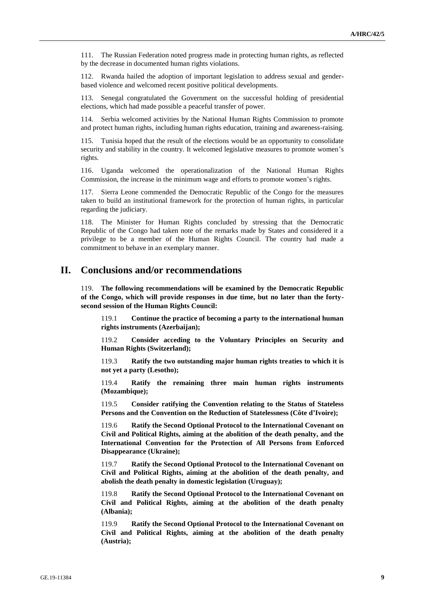111. The Russian Federation noted progress made in protecting human rights, as reflected by the decrease in documented human rights violations.

112. Rwanda hailed the adoption of important legislation to address sexual and genderbased violence and welcomed recent positive political developments.

113. Senegal congratulated the Government on the successful holding of presidential elections, which had made possible a peaceful transfer of power.

114. Serbia welcomed activities by the National Human Rights Commission to promote and protect human rights, including human rights education, training and awareness-raising.

115. Tunisia hoped that the result of the elections would be an opportunity to consolidate security and stability in the country. It welcomed legislative measures to promote women's rights.

116. Uganda welcomed the operationalization of the National Human Rights Commission, the increase in the minimum wage and efforts to promote women's rights.

Sierra Leone commended the Democratic Republic of the Congo for the measures taken to build an institutional framework for the protection of human rights, in particular regarding the judiciary.

118. The Minister for Human Rights concluded by stressing that the Democratic Republic of the Congo had taken note of the remarks made by States and considered it a privilege to be a member of the Human Rights Council. The country had made a commitment to behave in an exemplary manner.

## **II. Conclusions and/or recommendations**

119. **The following recommendations will be examined by the Democratic Republic of the Congo, which will provide responses in due time, but no later than the fortysecond session of the Human Rights Council:**

119.1 **Continue the practice of becoming a party to the international human rights instruments (Azerbaijan);**

119.2 **Consider acceding to the Voluntary Principles on Security and Human Rights (Switzerland);**

119.3 **Ratify the two outstanding major human rights treaties to which it is not yet a party (Lesotho);**

119.4 **Ratify the remaining three main human rights instruments (Mozambique);**

119.5 **Consider ratifying the Convention relating to the Status of Stateless Persons and the Convention on the Reduction of Statelessness (Côte d'Ivoire);**

119.6 **Ratify the Second Optional Protocol to the International Covenant on Civil and Political Rights, aiming at the abolition of the death penalty, and the International Convention for the Protection of All Persons from Enforced Disappearance (Ukraine);**

119.7 **Ratify the Second Optional Protocol to the International Covenant on Civil and Political Rights, aiming at the abolition of the death penalty, and abolish the death penalty in domestic legislation (Uruguay);**

119.8 **Ratify the Second Optional Protocol to the International Covenant on Civil and Political Rights, aiming at the abolition of the death penalty (Albania);**

119.9 **Ratify the Second Optional Protocol to the International Covenant on Civil and Political Rights, aiming at the abolition of the death penalty (Austria);**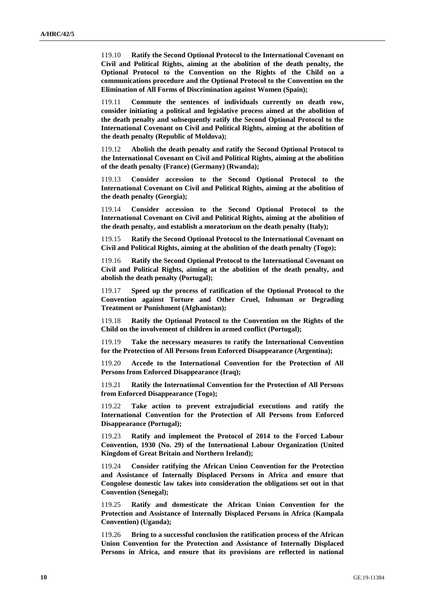119.10 **Ratify the Second Optional Protocol to the International Covenant on Civil and Political Rights, aiming at the abolition of the death penalty, the Optional Protocol to the Convention on the Rights of the Child on a communications procedure and the Optional Protocol to the Convention on the Elimination of All Forms of Discrimination against Women (Spain);**

119.11 **Commute the sentences of individuals currently on death row, consider initiating a political and legislative process aimed at the abolition of the death penalty and subsequently ratify the Second Optional Protocol to the International Covenant on Civil and Political Rights, aiming at the abolition of the death penalty (Republic of Moldova);**

119.12 **Abolish the death penalty and ratify the Second Optional Protocol to the International Covenant on Civil and Political Rights, aiming at the abolition of the death penalty (France) (Germany) (Rwanda);**

119.13 **Consider accession to the Second Optional Protocol to the International Covenant on Civil and Political Rights, aiming at the abolition of the death penalty (Georgia);**

119.14 **Consider accession to the Second Optional Protocol to the International Covenant on Civil and Political Rights, aiming at the abolition of the death penalty, and establish a moratorium on the death penalty (Italy);**

119.15 **Ratify the Second Optional Protocol to the International Covenant on Civil and Political Rights, aiming at the abolition of the death penalty (Togo);**

119.16 **Ratify the Second Optional Protocol to the International Covenant on Civil and Political Rights, aiming at the abolition of the death penalty, and abolish the death penalty (Portugal);**

119.17 **Speed up the process of ratification of the Optional Protocol to the Convention against Torture and Other Cruel, Inhuman or Degrading Treatment or Punishment (Afghanistan);**

119.18 **Ratify the Optional Protocol to the Convention on the Rights of the Child on the involvement of children in armed conflict (Portugal);**

119.19 **Take the necessary measures to ratify the International Convention for the Protection of All Persons from Enforced Disappearance (Argentina);**

119.20 **Accede to the International Convention for the Protection of All Persons from Enforced Disappearance (Iraq);**

119.21 **Ratify the International Convention for the Protection of All Persons from Enforced Disappearance (Togo);**

119.22 **Take action to prevent extrajudicial executions and ratify the International Convention for the Protection of All Persons from Enforced Disappearance (Portugal);**

119.23 **Ratify and implement the Protocol of 2014 to the Forced Labour Convention, 1930 (No. 29) of the International Labour Organization (United Kingdom of Great Britain and Northern Ireland);**

119.24 **Consider ratifying the African Union Convention for the Protection and Assistance of Internally Displaced Persons in Africa and ensure that Congolese domestic law takes into consideration the obligations set out in that Convention (Senegal);**

119.25 **Ratify and domesticate the African Union Convention for the Protection and Assistance of Internally Displaced Persons in Africa (Kampala Convention) (Uganda);**

119.26 **Bring to a successful conclusion the ratification process of the African Union Convention for the Protection and Assistance of Internally Displaced Persons in Africa, and ensure that its provisions are reflected in national**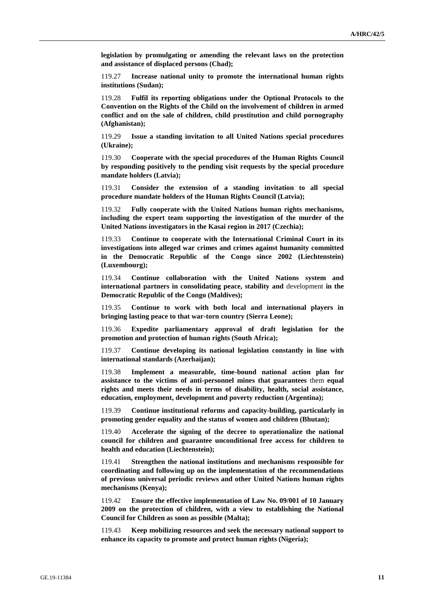**legislation by promulgating or amending the relevant laws on the protection and assistance of displaced persons (Chad);**

119.27 **Increase national unity to promote the international human rights institutions (Sudan);**

119.28 **Fulfil its reporting obligations under the Optional Protocols to the Convention on the Rights of the Child on the involvement of children in armed conflict and on the sale of children, child prostitution and child pornography (Afghanistan);**

119.29 **Issue a standing invitation to all United Nations special procedures (Ukraine);**

119.30 **Cooperate with the special procedures of the Human Rights Council by responding positively to the pending visit requests by the special procedure mandate holders (Latvia);**

119.31 **Consider the extension of a standing invitation to all special procedure mandate holders of the Human Rights Council (Latvia);**

119.32 **Fully cooperate with the United Nations human rights mechanisms, including the expert team supporting the investigation of the murder of the United Nations investigators in the Kasai region in 2017 (Czechia);**

119.33 **Continue to cooperate with the International Criminal Court in its investigations into alleged war crimes and crimes against humanity committed in the Democratic Republic of the Congo since 2002 (Liechtenstein) (Luxembourg);**

119.34 **Continue collaboration with the United Nations system and international partners in consolidating peace, stability and** development **in the Democratic Republic of the Congo (Maldives);**

119.35 **Continue to work with both local and international players in bringing lasting peace to that war-torn country (Sierra Leone);**

119.36 **Expedite parliamentary approval of draft legislation for the promotion and protection of human rights (South Africa);**

119.37 **Continue developing its national legislation constantly in line with international standards (Azerbaijan);**

119.38 **Implement a measurable, time-bound national action plan for assistance to the victims of anti-personnel mines that guarantees** them **equal rights and meets their needs in terms of disability, health, social assistance, education, employment, development and poverty reduction (Argentina);**

119.39 **Continue institutional reforms and capacity**-**building, particularly in promoting gender equality and the status of women and children (Bhutan);**

119.40 **Accelerate the signing of the decree to operationalize the national council for children and guarantee unconditional free access for children to health and education (Liechtenstein);**

119.41 **Strengthen the national institutions and mechanisms responsible for coordinating and following up on the implementation of the recommendations of previous universal periodic reviews and other United Nations human rights mechanisms (Kenya);**

119.42 **Ensure the effective implementation of Law No. 09/001 of 10 January 2009 on the protection of children, with a view to establishing the National Council for Children as soon as possible (Malta);**

119.43 **Keep mobilizing resources and seek the necessary national support to enhance its capacity to promote and protect human rights (Nigeria);**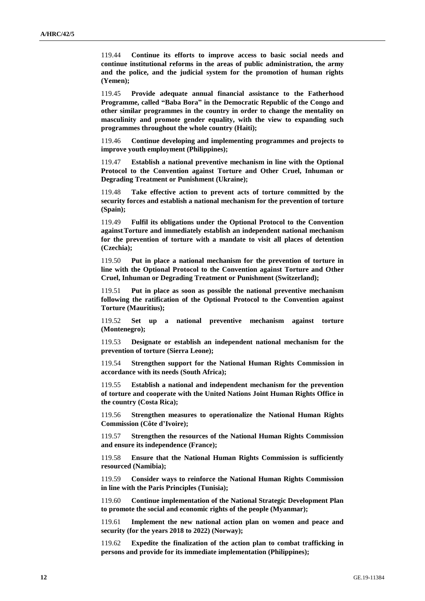119.44 **Continue its efforts to improve access to basic social needs and continue institutional reforms in the areas of public administration, the army and the police, and the judicial system for the promotion of human rights (Yemen);**

119.45 **Provide adequate annual financial assistance to the Fatherhood Programme, called "Baba Bora" in the Democratic Republic of the Congo and other similar programmes in the country in order to change the mentality on masculinity and promote gender equality, with the view to expanding such programmes throughout the whole country (Haiti);**

119.46 **Continue developing and implementing programmes and projects to improve youth employment (Philippines);**

119.47 **Establish a national preventive mechanism in line with the Optional Protocol to the Convention against Torture and Other Cruel, Inhuman or Degrading Treatment or Punishment (Ukraine);**

119.48 **Take effective action to prevent acts of torture committed by the security forces and establish a national mechanism for the prevention of torture (Spain);**

119.49 **Fulfil its obligations under the Optional Protocol to the Convention againstTorture and immediately establish an independent national mechanism for the prevention of torture with a mandate to visit all places of detention (Czechia);**

119.50 **Put in place a national mechanism for the prevention of torture in line with the Optional Protocol to the Convention against Torture and Other Cruel, Inhuman or Degrading Treatment or Punishment (Switzerland);**

119.51 **Put in place as soon as possible the national preventive mechanism following the ratification of the Optional Protocol to the Convention against Torture (Mauritius);**

119.52 **Set up a national preventive mechanism against torture (Montenegro);**

119.53 **Designate or establish an independent national mechanism for the prevention of torture (Sierra Leone);**

119.54 **Strengthen support for the National Human Rights Commission in accordance with its needs (South Africa);**

119.55 **Establish a national and independent mechanism for the prevention of torture and cooperate with the United Nations Joint Human Rights Office in the country (Costa Rica);**

119.56 **Strengthen measures to operationalize the National Human Rights Commission (Côte d'Ivoire);**

119.57 **Strengthen the resources of the National Human Rights Commission and ensure its independence (France);**

119.58 **Ensure that the National Human Rights Commission is sufficiently resourced (Namibia);**

119.59 **Consider ways to reinforce the National Human Rights Commission in line with the Paris Principles (Tunisia);**

119.60 **Continue implementation of the National Strategic Development Plan to promote the social and economic rights of the people (Myanmar);**

119.61 **Implement the new national action plan on women and peace and security (for the years 2018 to 2022) (Norway);**

119.62 **Expedite the finalization of the action plan to combat trafficking in persons and provide for its immediate implementation (Philippines);**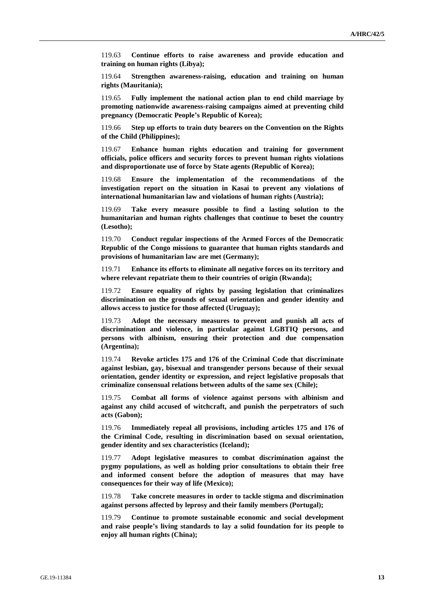119.63 **Continue efforts to raise awareness and provide education and training on human rights (Libya);**

119.64 **Strengthen awareness-raising, education and training on human rights (Mauritania);**

119.65 **Fully implement the national action plan to end child marriage by promoting nationwide awareness-raising campaigns aimed at preventing child pregnancy (Democratic People's Republic of Korea);**

119.66 **Step up efforts to train duty bearers on the Convention on the Rights of the Child (Philippines);**

119.67 **Enhance human rights education and training for government officials, police officers and security forces to prevent human rights violations and disproportionate use of force by State agents (Republic of Korea);**

119.68 **Ensure the implementation of the recommendations of the investigation report on the situation in Kasai to prevent any violations of international humanitarian law and violations of human rights (Austria);**

119.69 **Take every measure possible to find a lasting solution to the humanitarian and human rights challenges that continue to beset the country (Lesotho);**

119.70 **Conduct regular inspections of the Armed Forces of the Democratic Republic of the Congo missions to guarantee that human rights standards and provisions of humanitarian law are met (Germany);**

119.71 **Enhance its efforts to eliminate all negative forces on its territory and where relevant repatriate them to their countries of origin (Rwanda);**

119.72 **Ensure equality of rights by passing legislation that criminalizes discrimination on the grounds of sexual orientation and gender identity and allows access to justice for those affected (Uruguay);**

119.73 **Adopt the necessary measures to prevent and punish all acts of discrimination and violence, in particular against LGBTIQ persons, and persons with albinism, ensuring their protection and due compensation (Argentina);**

119.74 **Revoke articles 175 and 176 of the Criminal Code that discriminate against lesbian, gay, bisexual and transgender persons because of their sexual orientation, gender identity or expression, and reject legislative proposals that criminalize consensual relations between adults of the same sex (Chile);**

119.75 **Combat all forms of violence against persons with albinism and against any child accused of witchcraft, and punish the perpetrators of such acts (Gabon);**

119.76 **Immediately repeal all provisions, including articles 175 and 176 of the Criminal Code, resulting in discrimination based on sexual orientation, gender identity and sex characteristics (Iceland);**

119.77 **Adopt legislative measures to combat discrimination against the pygmy populations, as well as holding prior consultations to obtain their free and informed consent before the adoption of measures that may have consequences for their way of life (Mexico);**

119.78 **Take concrete measures in order to tackle stigma and discrimination against persons affected by leprosy and their family members (Portugal);**

119.79 **Continue to promote sustainable economic and social development and raise people's living standards to lay a solid foundation for its people to enjoy all human rights (China);**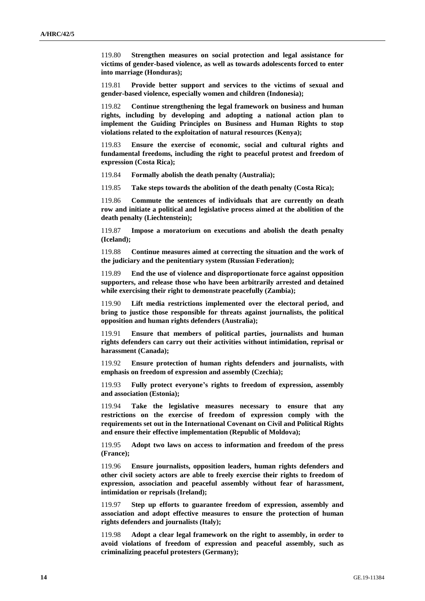119.80 **Strengthen measures on social protection and legal assistance for victims of gender-based violence, as well as towards adolescents forced to enter into marriage (Honduras);**

119.81 **Provide better support and services to the victims of sexual and gender-based violence, especially women and children (Indonesia);**

119.82 **Continue strengthening the legal framework on business and human rights, including by developing and adopting a national action plan to implement the Guiding Principles on Business and Human Rights to stop violations related to the exploitation of natural resources (Kenya);**

119.83 **Ensure the exercise of economic, social and cultural rights and fundamental freedoms, including the right to peaceful protest and freedom of expression (Costa Rica);**

119.84 **Formally abolish the death penalty (Australia);**

119.85 **Take steps towards the abolition of the death penalty (Costa Rica);**

119.86 **Commute the sentences of individuals that are currently on death row and initiate a political and legislative process aimed at the abolition of the death penalty (Liechtenstein);**

119.87 **Impose a moratorium on executions and abolish the death penalty (Iceland);**

119.88 **Continue measures aimed at correcting the situation and the work of the judiciary and the penitentiary system (Russian Federation);**

119.89 **End the use of violence and disproportionate force against opposition supporters, and release those who have been arbitrarily arrested and detained while exercising their right to demonstrate peacefully (Zambia);**

119.90 **Lift media restrictions implemented over the electoral period, and bring to justice those responsible for threats against journalists, the political opposition and human rights defenders (Australia);**

119.91 **Ensure that members of political parties, journalists and human rights defenders can carry out their activities without intimidation, reprisal or harassment (Canada);**

119.92 **Ensure protection of human rights defenders and journalists, with emphasis on freedom of expression and assembly (Czechia);**

119.93 **Fully protect everyone's rights to freedom of expression, assembly and association (Estonia);**

119.94 **Take the legislative measures necessary to ensure that any restrictions on the exercise of freedom of expression comply with the requirements set out in the International Covenant on Civil and Political Rights and ensure their effective implementation (Republic of Moldova);**

119.95 **Adopt two laws on access to information and freedom of the press (France);**

119.96 **Ensure journalists, opposition leaders, human rights defenders and other civil society actors are able to freely exercise their rights to freedom of expression, association and peaceful assembly without fear of harassment, intimidation or reprisals (Ireland);**

119.97 **Step up efforts to guarantee freedom of expression, assembly and association and adopt effective measures to ensure the protection of human rights defenders and journalists (Italy);** 

119.98 **Adopt a clear legal framework on the right to assembly, in order to avoid violations of freedom of expression and peaceful assembly, such as criminalizing peaceful protesters (Germany);**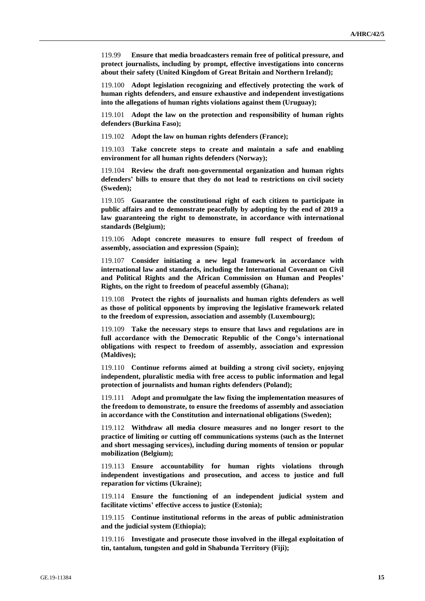119.99 **Ensure that media broadcasters remain free of political pressure, and protect journalists, including by prompt, effective investigations into concerns about their safety (United Kingdom of Great Britain and Northern Ireland);**

119.100 **Adopt legislation recognizing and effectively protecting the work of human rights defenders, and ensure exhaustive and independent investigations into the allegations of human rights violations against them (Uruguay);**

119.101 **Adopt the law on the protection and responsibility of human rights defenders (Burkina Faso);**

119.102 **Adopt the law on human rights defenders (France);**

119.103 **Take concrete steps to create and maintain a safe and enabling environment for all human rights defenders (Norway);**

119.104 **Review the draft non-governmental organization and human rights defenders' bills to ensure that they do not lead to restrictions on civil society (Sweden);**

119.105 **Guarantee the constitutional right of each citizen to participate in public affairs and to demonstrate peacefully by adopting by the end of 2019 a law guaranteeing the right to demonstrate, in accordance with international standards (Belgium);**

119.106 **Adopt concrete measures to ensure full respect of freedom of assembly, association and expression (Spain);**

119.107 **Consider initiating a new legal framework in accordance with international law and standards, including the International Covenant on Civil and Political Rights and the African Commission on Human and Peoples' Rights, on the right to freedom of peaceful assembly (Ghana);**

119.108 **Protect the rights of journalists and human rights defenders as well as those of political opponents by improving the legislative framework related to the freedom of expression, association and assembly (Luxembourg);**

119.109 **Take the necessary steps to ensure that laws and regulations are in full accordance with the Democratic Republic of the Congo's international obligations with respect to freedom of assembly, association and expression (Maldives);**

119.110 **Continue reforms aimed at building a strong civil society, enjoying independent, pluralistic media with free access to public information and legal protection of journalists and human rights defenders (Poland);**

119.111 **Adopt and promulgate the law fixing the implementation measures of the freedom to demonstrate, to ensure the freedoms of assembly and association in accordance with the Constitution and international obligations (Sweden);**

119.112 **Withdraw all media closure measures and no longer resort to the practice of limiting or cutting off communications systems (such as the Internet and short messaging services), including during moments of tension or popular mobilization (Belgium);**

119.113 **Ensure accountability for human rights violations through independent investigations and prosecution, and access to justice and full reparation for victims (Ukraine);**

119.114 **Ensure the functioning of an independent judicial system and facilitate victims' effective access to justice (Estonia);**

119.115 **Continue institutional reforms in the areas of public administration and the judicial system (Ethiopia);**

119.116 **Investigate and prosecute those involved in the illegal exploitation of tin, tantalum, tungsten and gold in Shabunda Territory (Fiji);**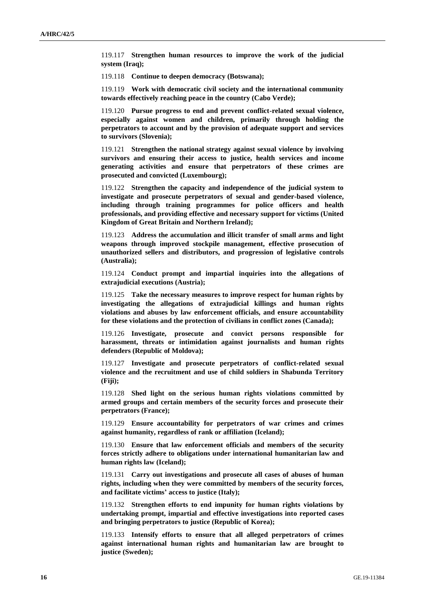119.117 **Strengthen human resources to improve the work of the judicial system (Iraq);**

119.118 **Continue to deepen democracy (Botswana);**

119.119 **Work with democratic civil society and the international community towards effectively reaching peace in the country (Cabo Verde);**

119.120 **Pursue progress to end and prevent conflict-related sexual violence, especially against women and children, primarily through holding the perpetrators to account and by the provision of adequate support and services to survivors (Slovenia);**

119.121 **Strengthen the national strategy against sexual violence by involving survivors and ensuring their access to justice, health services and income generating activities and ensure that perpetrators of these crimes are prosecuted and convicted (Luxembourg);**

119.122 **Strengthen the capacity and independence of the judicial system to investigate and prosecute perpetrators of sexual and gender-based violence, including through training programmes for police officers and health professionals, and providing effective and necessary support for victims (United Kingdom of Great Britain and Northern Ireland);**

119.123 **Address the accumulation and illicit transfer of small arms and light weapons through improved stockpile management, effective prosecution of unauthorized sellers and distributors, and progression of legislative controls (Australia);**

119.124 **Conduct prompt and impartial inquiries into the allegations of extrajudicial executions (Austria);**

119.125 **Take the necessary measures to improve respect for human rights by investigating the allegations of extrajudicial killings and human rights violations and abuses by law enforcement officials, and ensure accountability for these violations and the protection of civilians in conflict zones (Canada);**

119.126 **Investigate, prosecute and convict persons responsible for harassment, threats or intimidation against journalists and human rights defenders (Republic of Moldova);**

119.127 **Investigate and prosecute perpetrators of conflict-related sexual violence and the recruitment and use of child soldiers in Shabunda Territory (Fiji);**

119.128 **Shed light on the serious human rights violations committed by armed groups and certain members of the security forces and prosecute their perpetrators (France);**

119.129 **Ensure accountability for perpetrators of war crimes and crimes against humanity, regardless of rank or affiliation (Iceland);**

119.130 **Ensure that law enforcement officials and members of the security forces strictly adhere to obligations under international humanitarian law and human rights law (Iceland);**

119.131 **Carry out investigations and prosecute all cases of abuses of human rights, including when they were committed by members of the security forces, and facilitate victims' access to justice (Italy);**

119.132 **Strengthen efforts to end impunity for human rights violations by undertaking prompt, impartial and effective investigations into reported cases and bringing perpetrators to justice (Republic of Korea);**

119.133 **Intensify efforts to ensure that all alleged perpetrators of crimes against international human rights and humanitarian law are brought to justice (Sweden);**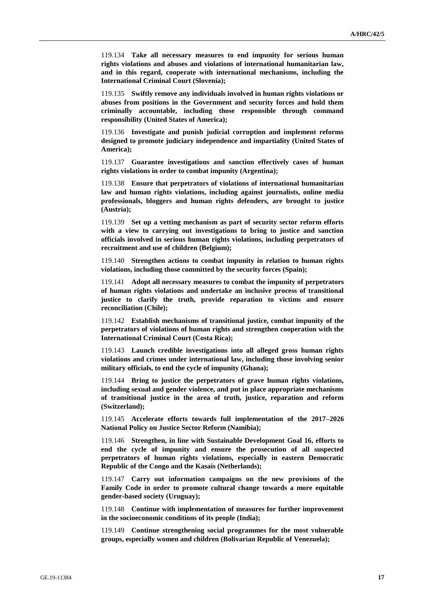119.134 **Take all necessary measures to end impunity for serious human rights violations and abuses and violations of international humanitarian law, and in this regard, cooperate with international mechanisms, including the International Criminal Court (Slovenia);**

119.135 **Swiftly remove any individuals involved in human rights violations or abuses from positions in the Government and security forces and hold them criminally accountable, including those responsible through command responsibility (United States of America);**

119.136 **Investigate and punish judicial corruption and implement reforms designed to promote judiciary independence and impartiality (United States of America);**

119.137 **Guarantee investigations and sanction effectively cases of human rights violations in order to combat impunity (Argentina);**

119.138 **Ensure that perpetrators of violations of international humanitarian law and human rights violations, including against journalists, online media professionals, bloggers and human rights defenders, are brought to justice (Austria);**

119.139 **Set up a vetting mechanism as part of security sector reform efforts with a view to carrying out investigations to bring to justice and sanction officials involved in serious human rights violations, including perpetrators of recruitment and use of children (Belgium);**

119.140 **Strengthen actions to combat impunity in relation to human rights violations, including those committed by the security forces (Spain);**

119.141 **Adopt all necessary measures to combat the impunity of perpetrators of human rights violations and undertake an inclusive process of transitional justice to clarify the truth, provide reparation to victims and ensure reconciliation (Chile);**

119.142 **Establish mechanisms of transitional justice, combat impunity of the perpetrators of violations of human rights and strengthen cooperation with the International Criminal Court (Costa Rica);**

119.143 **Launch credible investigations into all alleged gross human rights violations and crimes under international law, including those involving senior military officials, to end the cycle of impunity (Ghana);**

119.144 **Bring to justice the perpetrators of grave human rights violations, including sexual and gender violence, and put in place appropriate mechanisms of transitional justice in the area of truth, justice, reparation and reform (Switzerland);**

119.145 **Accelerate efforts towards full implementation of the 2017–2026 National Policy on Justice Sector Reform (Namibia);**

119.146 **Strengthen, in line with Sustainable Development Goal 16, efforts to end the cycle of impunity and ensure the prosecution of all suspected perpetrators of human rights violations, especially in eastern Democratic Republic of the Congo and the Kasais (Netherlands);**

119.147 **Carry out information campaigns on the new provisions of the Family Code in order to promote cultural change towards a more equitable gender-based society (Uruguay);**

119.148 **Continue with implementation of measures for further improvement in the socioeconomic conditions of its people (India);**

119.149 **Continue strengthening social programmes for the most vulnerable groups, especially women and children (Bolivarian Republic of Venezuela);**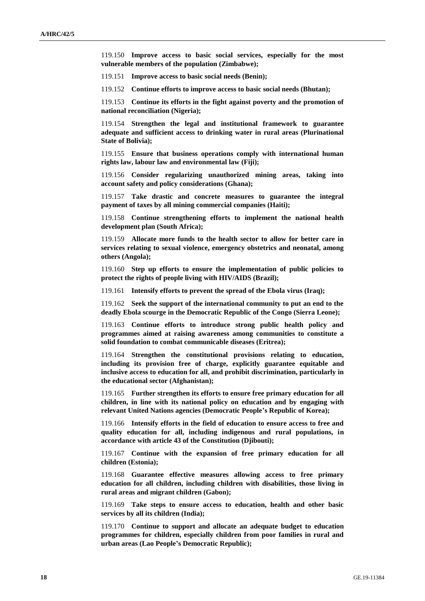119.150 **Improve access to basic social services, especially for the most vulnerable members of the population (Zimbabwe);**

119.151 **Improve access to basic social needs (Benin);**

119.152 **Continue efforts to improve access to basic social needs (Bhutan);**

119.153 **Continue its efforts in the fight against poverty and the promotion of national reconciliation (Nigeria);**

119.154 **Strengthen the legal and institutional framework to guarantee adequate and sufficient access to drinking water in rural areas (Plurinational State of Bolivia);**

119.155 **Ensure that business operations comply with international human rights law, labour law and environmental law (Fiji);**

119.156 **Consider regularizing unauthorized mining areas, taking into account safety and policy considerations (Ghana);**

119.157 **Take drastic and concrete measures to guarantee the integral payment of taxes by all mining commercial companies (Haiti);**

119.158 **Continue strengthening efforts to implement the national health development plan (South Africa);**

119.159 **Allocate more funds to the health sector to allow for better care in services relating to sexual violence, emergency obstetrics and neonatal, among others (Angola);**

119.160 **Step up efforts to ensure the implementation of public policies to protect the rights of people living with HIV/AIDS (Brazil);**

119.161 **Intensify efforts to prevent the spread of the Ebola virus (Iraq);**

119.162 **Seek the support of the international community to put an end to the deadly Ebola scourge in the Democratic Republic of the Congo (Sierra Leone);**

119.163 **Continue efforts to introduce strong public health policy and programmes aimed at raising awareness among communities to constitute a solid foundation to combat communicable diseases (Eritrea);**

119.164 **Strengthen the constitutional provisions relating to education, including its provision free of charge, explicitly guarantee equitable and inclusive access to education for all, and prohibit discrimination, particularly in the educational sector (Afghanistan);**

119.165 **Further strengthen its efforts to ensure free primary education for all children, in line with its national policy on education and by engaging with relevant United Nations agencies (Democratic People's Republic of Korea);**

119.166 **Intensify efforts in the field of education to ensure access to free and quality education for all, including indigenous and rural populations, in accordance with article 43 of the Constitution (Djibouti);**

119.167 **Continue with the expansion of free primary education for all children (Estonia);**

119.168 **Guarantee effective measures allowing access to free primary education for all children, including children with disabilities, those living in rural areas and migrant children (Gabon);**

119.169 **Take steps to ensure access to education, health and other basic services by all its children (India);**

119.170 **Continue to support and allocate an adequate budget to education programmes for children, especially children from poor families in rural and urban areas (Lao People's Democratic Republic);**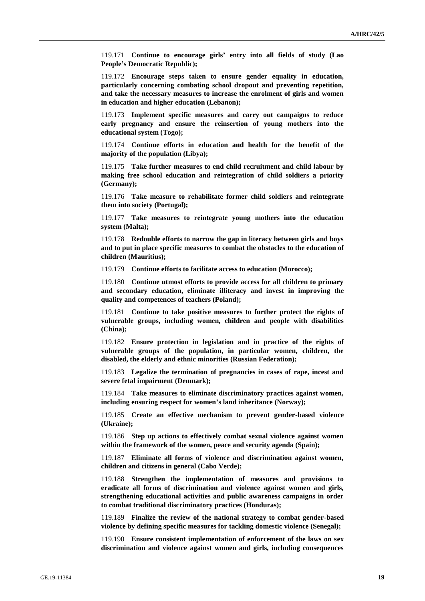119.171 **Continue to encourage girls' entry into all fields of study (Lao People's Democratic Republic);**

119.172 **Encourage steps taken to ensure gender equality in education, particularly concerning combating school dropout and preventing repetition, and take the necessary measures to increase the enrolment of girls and women in education and higher education (Lebanon);**

119.173 **Implement specific measures and carry out campaigns to reduce early pregnancy and ensure the reinsertion of young mothers into the educational system (Togo);**

119.174 **Continue efforts in education and health for the benefit of the majority of the population (Libya);**

119.175 **Take further measures to end child recruitment and child labour by making free school education and reintegration of child soldiers a priority (Germany);**

119.176 **Take measure to rehabilitate former child soldiers and reintegrate them into society (Portugal);**

119.177 **Take measures to reintegrate young mothers into the education system (Malta);**

119.178 **Redouble efforts to narrow the gap in literacy between girls and boys and to put in place specific measures to combat the obstacles to the education of children (Mauritius);**

119.179 **Continue efforts to facilitate access to education (Morocco);**

119.180 **Continue utmost efforts to provide access for all children to primary and secondary education, eliminate illiteracy and invest in improving the quality and competences of teachers (Poland);**

119.181 **Continue to take positive measures to further protect the rights of vulnerable groups, including women, children and people with disabilities (China);**

119.182 **Ensure protection in legislation and in practice of the rights of vulnerable groups of the population, in particular women, children, the disabled, the elderly and ethnic minorities (Russian Federation);**

119.183 **Legalize the termination of pregnancies in cases of rape, incest and severe fetal impairment (Denmark);**

119.184 **Take measures to eliminate discriminatory practices against women, including ensuring respect for women's land inheritance (Norway);**

119.185 **Create an effective mechanism to prevent gender-based violence (Ukraine);**

119.186 **Step up actions to effectively combat sexual violence against women within the framework of the women, peace and security agenda (Spain);**

119.187 **Eliminate all forms of violence and discrimination against women, children and citizens in general (Cabo Verde);**

119.188 **Strengthen the implementation of measures and provisions to eradicate all forms of discrimination and violence against women and girls, strengthening educational activities and public awareness campaigns in order to combat traditional discriminatory practices (Honduras);**

119.189 **Finalize the review of the national strategy to combat gender-based violence by defining specific measures for tackling domestic violence (Senegal);**

119.190 **Ensure consistent implementation of enforcement of the laws on sex discrimination and violence against women and girls, including consequences**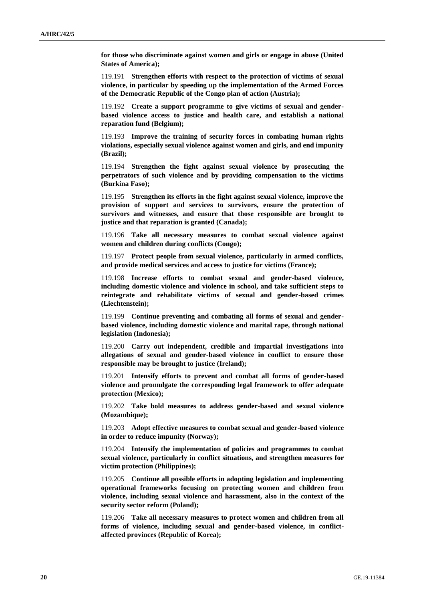**for those who discriminate against women and girls or engage in abuse (United States of America);**

119.191 **Strengthen efforts with respect to the protection of victims of sexual violence, in particular by speeding up the implementation of the Armed Forces of the Democratic Republic of the Congo plan of action (Austria);**

119.192 **Create a support programme to give victims of sexual and genderbased violence access to justice and health care, and establish a national reparation fund (Belgium);**

119.193 **Improve the training of security forces in combating human rights violations, especially sexual violence against women and girls, and end impunity (Brazil);**

119.194 **Strengthen the fight against sexual violence by prosecuting the perpetrators of such violence and by providing compensation to the victims (Burkina Faso);**

119.195 **Strengthen its efforts in the fight against sexual violence, improve the provision of support and services to survivors, ensure the protection of survivors and witnesses, and ensure that those responsible are brought to justice and that reparation is granted (Canada);**

119.196 **Take all necessary measures to combat sexual violence against women and children during conflicts (Congo);**

119.197 **Protect people from sexual violence, particularly in armed conflicts, and provide medical services and access to justice for victims (France);**

119.198 **Increase efforts to combat sexual and gender-based violence, including domestic violence and violence in school, and take sufficient steps to reintegrate and rehabilitate victims of sexual and gender-based crimes (Liechtenstein);**

119.199 **Continue preventing and combating all forms of sexual and genderbased violence, including domestic violence and marital rape, through national legislation (Indonesia);**

119.200 **Carry out independent, credible and impartial investigations into allegations of sexual and gender-based violence in conflict to ensure those responsible may be brought to justice (Ireland);**

119.201 **Intensify efforts to prevent and combat all forms of gender-based violence and promulgate the corresponding legal framework to offer adequate protection (Mexico);**

119.202 **Take bold measures to address gender-based and sexual violence (Mozambique);**

119.203 **Adopt effective measures to combat sexual and gender-based violence in order to reduce impunity (Norway);**

119.204 **Intensify the implementation of policies and programmes to combat sexual violence, particularly in conflict situations, and strengthen measures for victim protection (Philippines);**

119.205 **Continue all possible efforts in adopting legislation and implementing operational frameworks focusing on protecting women and children from violence, including sexual violence and harassment, also in the context of the security sector reform (Poland);**

119.206 **Take all necessary measures to protect women and children from all forms of violence, including sexual and gender-based violence, in conflictaffected provinces (Republic of Korea);**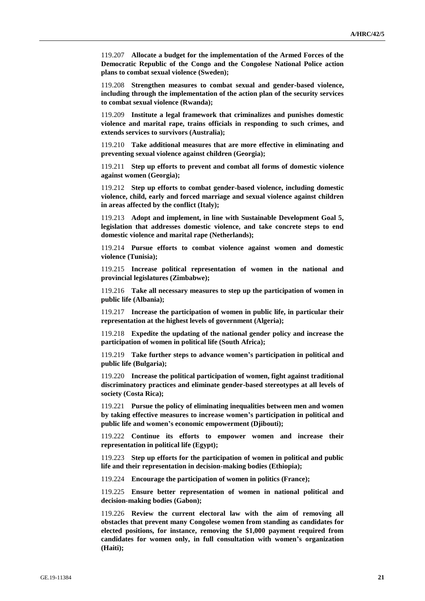119.207 **Allocate a budget for the implementation of the Armed Forces of the Democratic Republic of the Congo and the Congolese National Police action plans to combat sexual violence (Sweden);**

119.208 **Strengthen measures to combat sexual and gender-based violence, including through the implementation of the action plan of the security services to combat sexual violence (Rwanda);**

119.209 **Institute a legal framework that criminalizes and punishes domestic violence and marital rape, trains officials in responding to such crimes, and extends services to survivors (Australia);**

119.210 **Take additional measures that are more effective in eliminating and preventing sexual violence against children (Georgia);**

119.211 **Step up efforts to prevent and combat all forms of domestic violence against women (Georgia);**

119.212 **Step up efforts to combat gender-based violence, including domestic violence, child, early and forced marriage and sexual violence against children in areas affected by the conflict (Italy);**

119.213 **Adopt and implement, in line with Sustainable Development Goal 5, legislation that addresses domestic violence, and take concrete steps to end domestic violence and marital rape (Netherlands);**

119.214 **Pursue efforts to combat violence against women and domestic violence (Tunisia);**

119.215 **Increase political representation of women in the national and provincial legislatures (Zimbabwe);**

119.216 **Take all necessary measures to step up the participation of women in public life (Albania);**

119.217 **Increase the participation of women in public life, in particular their representation at the highest levels of government (Algeria);**

119.218 **Expedite the updating of the national gender policy and increase the participation of women in political life (South Africa);**

119.219 **Take further steps to advance women's participation in political and public life (Bulgaria);**

119.220 **Increase the political participation of women, fight against traditional discriminatory practices and eliminate gender-based stereotypes at all levels of society (Costa Rica);**

119.221 **Pursue the policy of eliminating inequalities between men and women by taking effective measures to increase women's participation in political and public life and women's economic empowerment (Djibouti);**

119.222 **Continue its efforts to empower women and increase their representation in political life (Egypt);**

119.223 **Step up efforts for the participation of women in political and public life and their representation in decision-making bodies (Ethiopia);**

119.224 **Encourage the participation of women in politics (France);**

119.225 **Ensure better representation of women in national political and decision-making bodies (Gabon);**

119.226 **Review the current electoral law with the aim of removing all obstacles that prevent many Congolese women from standing as candidates for elected positions, for instance, removing the \$1,000 payment required from candidates for women only, in full consultation with women's organization (Haiti);**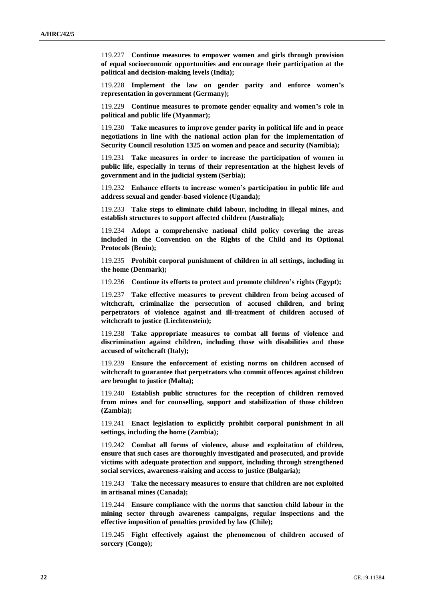119.227 **Continue measures to empower women and girls through provision of equal socioeconomic opportunities and encourage their participation at the political and decision-making levels (India);**

119.228 **Implement the law on gender parity and enforce women's representation in government (Germany);**

119.229 **Continue measures to promote gender equality and women's role in political and public life (Myanmar);**

119.230 **Take measures to improve gender parity in political life and in peace negotiations in line with the national action plan for the implementation of Security Council resolution 1325 on women and peace and security (Namibia);**

119.231 **Take measures in order to increase the participation of women in public life, especially in terms of their representation at the highest levels of government and in the judicial system (Serbia);**

119.232 **Enhance efforts to increase women's participation in public life and address sexual and gender-based violence (Uganda);**

119.233 **Take steps to eliminate child labour, including in illegal mines, and establish structures to support affected children (Australia);**

119.234 **Adopt a comprehensive national child policy covering the areas included in the Convention on the Rights of the Child and its Optional Protocols (Benin);**

119.235 **Prohibit corporal punishment of children in all settings, including in the home (Denmark);**

119.236 **Continue its efforts to protect and promote children's rights (Egypt);**

119.237 **Take effective measures to prevent children from being accused of witchcraft, criminalize the persecution of accused children, and bring perpetrators of violence against and ill-treatment of children accused of witchcraft to justice (Liechtenstein);**

119.238 **Take appropriate measures to combat all forms of violence and discrimination against children, including those with disabilities and those accused of witchcraft (Italy);**

119.239 **Ensure the enforcement of existing norms on children accused of witchcraft to guarantee that perpetrators who commit offences against children are brought to justice (Malta);**

119.240 **Establish public structures for the reception of children removed from mines and for counselling, support and stabilization of those children (Zambia);**

119.241 **Enact legislation to explicitly prohibit corporal punishment in all settings, including the home (Zambia);**

119.242 **Combat all forms of violence, abuse and exploitation of children, ensure that such cases are thoroughly investigated and prosecuted, and provide victims with adequate protection and support, including through strengthened social services, awareness-raising and access to justice (Bulgaria);**

119.243 **Take the necessary measures to ensure that children are not exploited in artisanal mines (Canada);**

119.244 **Ensure compliance with the norms that sanction child labour in the mining sector through awareness campaigns, regular inspections and the effective imposition of penalties provided by law (Chile);**

119.245 **Fight effectively against the phenomenon of children accused of sorcery (Congo);**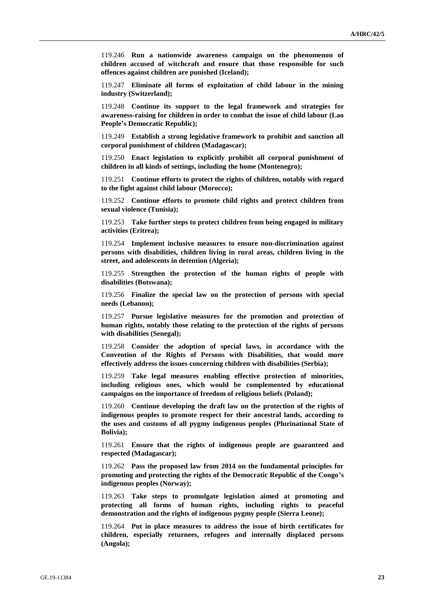119.246 **Run a nationwide awareness campaign on the phenomenon of children accused of witchcraft and ensure that those responsible for such offences against children are punished (Iceland);**

119.247 **Eliminate all forms of exploitation of child labour in the mining industry (Switzerland);**

119.248 **Continue its support to the legal framework and strategies for awareness-raising for children in order to combat the issue of child labour (Lao People's Democratic Republic);**

119.249 **Establish a strong legislative framework to prohibit and sanction all corporal punishment of children (Madagascar);**

119.250 **Enact legislation to explicitly prohibit all corporal punishment of children in all kinds of settings, including the home (Montenegro);**

119.251 **Continue efforts to protect the rights of children, notably with regard to the fight against child labour (Morocco);**

119.252 **Continue efforts to promote child rights and protect children from sexual violence (Tunisia);**

119.253 **Take further steps to protect children from being engaged in military activities (Eritrea);**

119.254 **Implement inclusive measures to ensure non-discrimination against persons with disabilities, children living in rural areas, children living in the street, and adolescents in detention (Algeria);**

119.255 **Strengthen the protection of the human rights of people with disabilities (Botswana);**

119.256 **Finalize the special law on the protection of persons with special needs (Lebanon);**

119.257 **Pursue legislative measures for the promotion and protection of human rights, notably those relating to the protection of the rights of persons with disabilities (Senegal);**

119.258 **Consider the adoption of special laws, in accordance with the Convention of the Rights of Persons with Disabilities, that would more effectively address the issues concerning children with disabilities (Serbia);**

119.259 **Take legal measures enabling effective protection of minorities, including religious ones, which would be complemented by educational campaigns on the importance of freedom of religious beliefs (Poland);**

119.260 **Continue developing the draft law on the protection of the rights of indigenous peoples to promote respect for their ancestral lands, according to the uses and customs of all pygmy indigenous peoples (Plurinational State of Bolivia);**

119.261 **Ensure that the rights of indigenous people are guaranteed and respected (Madagascar);**

119.262 **Pass the proposed law from 2014 on the fundamental principles for promoting and protecting the rights of the Democratic Republic of the Congo's indigenous peoples (Norway);**

119.263 **Take steps to promulgate legislation aimed at promoting and protecting all forms of human rights, including rights to peaceful demonstration and the rights of indigenous pygmy people (Sierra Leone);**

119.264 **Put in place measures to address the issue of birth certificates for children, especially returnees, refugees and internally displaced persons (Angola);**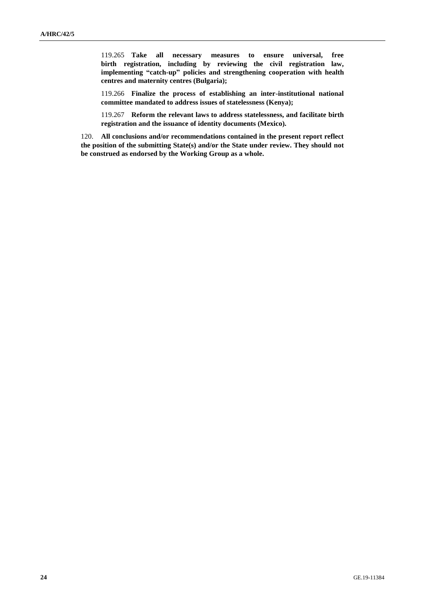119.265 **Take all necessary measures to ensure universal, free birth registration, including by reviewing the civil registration law, implementing "catch-up" policies and strengthening cooperation with health centres and maternity centres (Bulgaria);**

119.266 **Finalize the process of establishing an inter-institutional national committee mandated to address issues of statelessness (Kenya);**

119.267 **Reform the relevant laws to address statelessness, and facilitate birth registration and the issuance of identity documents (Mexico).**

120. **All conclusions and/or recommendations contained in the present report reflect the position of the submitting State(s) and/or the State under review. They should not be construed as endorsed by the Working Group as a whole.**